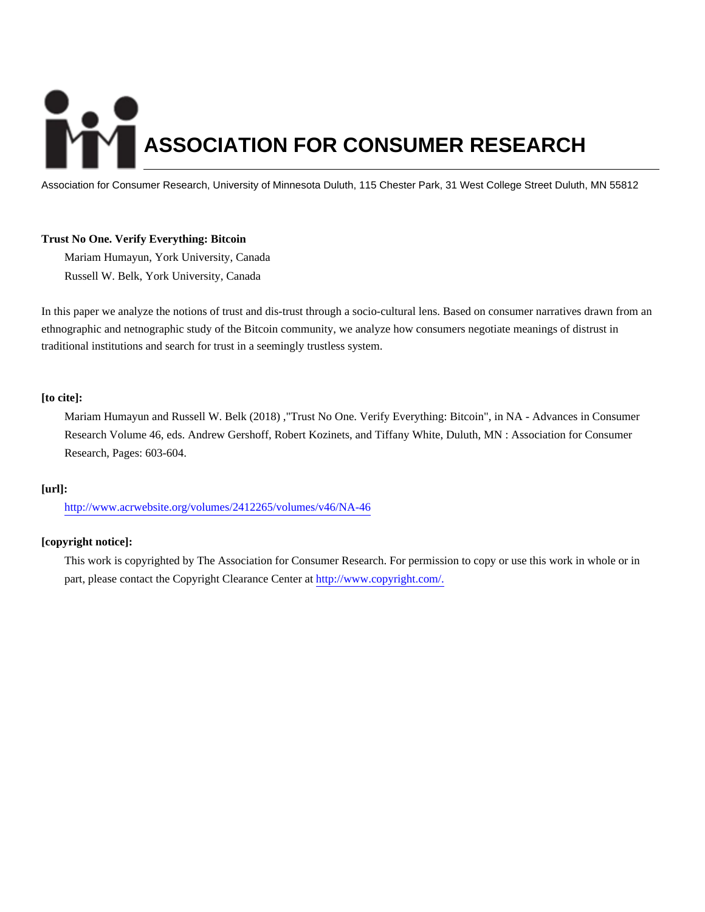# **ASSOCIATION FOR CONSUMER RESEARCH**

Association for Consumer Research, University of Minnesota Duluth, 115 Chester Park, 31 West College Street Duluth, MN 55812

## **Trust No One. Verify Everything: Bitcoin**

Mariam Humayun, York University, Canada Russell W. Belk, York University, Canada

In this paper we analyze the notions of trust and dis-trust through a socio-cultural lens. Based on consumer narratives drawn from an ethnographic and netnographic study of the Bitcoin community, we analyze how consumers negotiate meanings of distrust in traditional institutions and search for trust in a seemingly trustless system.

# **[to cite]:**

Mariam Humayun and Russell W. Belk (2018) ,"Trust No One. Verify Everything: Bitcoin", in NA - Advances in Consumer Research Volume 46, eds. Andrew Gershoff, Robert Kozinets, and Tiffany White, Duluth, MN : Association for Consumer Research, Pages: 603-604.

## **[url]:**

<http://www.acrwebsite.org/volumes/2412265/volumes/v46/NA-46>

## **[copyright notice]:**

This work is copyrighted by The Association for Consumer Research. For permission to copy or use this work in whole or in part, please contact the Copyright Clearance Center at [http://www.copyright.com/.](http://www.copyright.com/)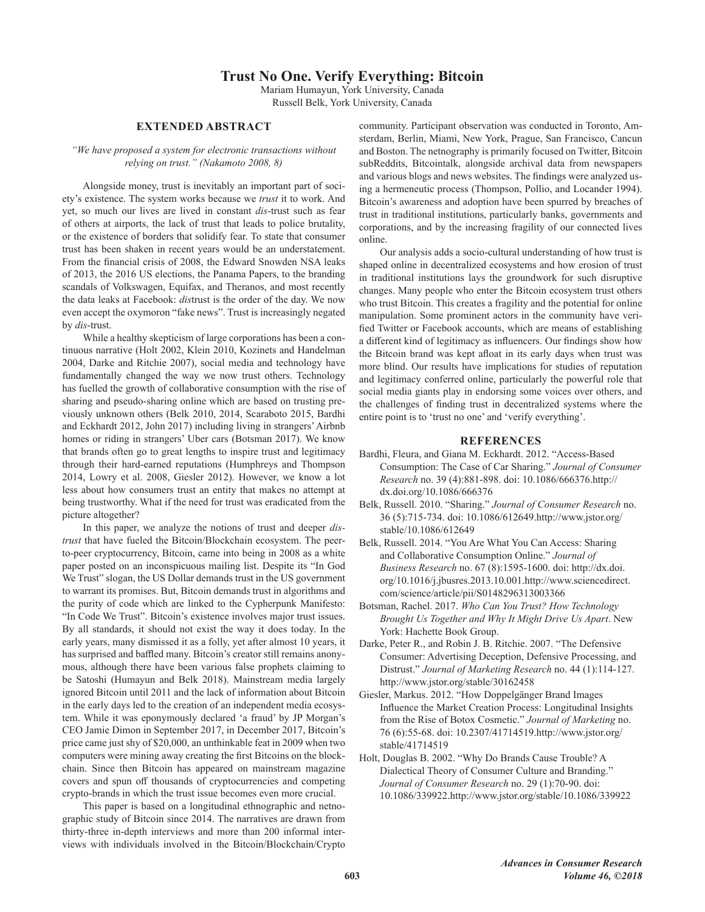# **Trust No One. Verify Everything: Bitcoin**

Mariam Humayun, York University, Canada

Russell Belk, York University, Canada

# **EXTENDED ABSTRACT**

### "We have proposed a system for electronic transactions without relying on trust." (Nakamoto 2008, 8)

Alongside money, trust is inevitably an important part of society's existence. The system works because we trust it to work. And yet, so much our lives are lived in constant dis-trust such as fear of others at airports, the lack of trust that leads to police brutality, or the existence of borders that solidify fear. To state that consumer trust has been shaken in recent years would be an understatement. From the financial crisis of 2008, the Edward Snowden NSA leaks of 2013, the 2016 US elections, the Panama Papers, to the branding scandals of Volkswagen, Equifax, and Theranos, and most recently the data leaks at Facebook: distrust is the order of the day. We now even accept the oxymoron "fake news". Trust is increasingly negated by dis-trust.

While a healthy skepticism of large corporations has been a continuous narrative (Holt 2002, Klein 2010, Kozinets and Handelman 2004, Darke and Ritchie 2007), social media and technology have fundamentally changed the way we now trust others. Technology has fuelled the growth of collaborative consumption with the rise of sharing and pseudo-sharing online which are based on trusting previously unknown others (Belk 2010, 2014, Scaraboto 2015, Bardhi and Eckhardt 2012, John 2017) including living in strangers' Airbnb homes or riding in strangers' Uber cars (Botsman 2017). We know that brands often go to great lengths to inspire trust and legitimacy through their hard-earned reputations (Humphreys and Thompson 2014, Lowry et al. 2008, Giesler 2012). However, we know a lot less about how consumers trust an entity that makes no attempt at being trustworthy. What if the need for trust was eradicated from the picture altogether?

In this paper, we analyze the notions of trust and deeper *dis*trust that have fueled the Bitcoin/Blockchain ecosystem. The peerto-peer cryptocurrency, Bitcoin, came into being in 2008 as a white paper posted on an inconspicuous mailing list. Despite its "In God We Trust" slogan, the US Dollar demands trust in the US government to warrant its promises. But, Bitcoin demands trust in algorithms and the purity of code which are linked to the Cypherpunk Manifesto: "In Code We Trust". Bitcoin's existence involves major trust issues. By all standards, it should not exist the way it does today. In the early years, many dismissed it as a folly, yet after almost 10 years, it has surprised and baffled many. Bitcoin's creator still remains anonymous, although there have been various false prophets claiming to be Satoshi (Humayun and Belk 2018). Mainstream media largely ignored Bitcoin until 2011 and the lack of information about Bitcoin in the early days led to the creation of an independent media ecosystem. While it was eponymously declared 'a fraud' by JP Morgan's CEO Jamie Dimon in September 2017, in December 2017, Bitcoin's price came just shy of \$20,000, an unthinkable feat in 2009 when two computers were mining away creating the first Bitcoins on the blockchain. Since then Bitcoin has appeared on mainstream magazine covers and spun off thousands of cryptocurrencies and competing crypto-brands in which the trust issue becomes even more crucial.

This paper is based on a longitudinal ethnographic and netnographic study of Bitcoin since 2014. The narratives are drawn from thirty-three in-depth interviews and more than 200 informal interviews with individuals involved in the Bitcoin/Blockchain/Crypto community. Participant observation was conducted in Toronto, Amsterdam, Berlin, Miami, New York, Prague, San Francisco, Cancun and Boston. The netnography is primarily focused on Twitter, Bitcoin subReddits, Bitcointalk, alongside archival data from newspapers and various blogs and news websites. The findings were analyzed using a hermeneutic process (Thompson, Pollio, and Locander 1994). Bitcoin's awareness and adoption have been spurred by breaches of trust in traditional institutions, particularly banks, governments and corporations, and by the increasing fragility of our connected lives online.

Our analysis adds a socio-cultural understanding of how trust is shaped online in decentralized ecosystems and how erosion of trust in traditional institutions lays the groundwork for such disruptive changes. Many people who enter the Bitcoin ecosystem trust others who trust Bitcoin. This creates a fragility and the potential for online manipulation. Some prominent actors in the community have verified Twitter or Facebook accounts, which are means of establishing a different kind of legitimacy as influencers. Our findings show how the Bitcoin brand was kept afloat in its early days when trust was more blind. Our results have implications for studies of reputation and legitimacy conferred online, particularly the powerful role that social media giants play in endorsing some voices over others, and the challenges of finding trust in decentralized systems where the entire point is to 'trust no one' and 'verify everything'.

### **REFERENCES**

- Bardhi, Fleura, and Giana M. Eckhardt. 2012. "Access-Based Consumption: The Case of Car Sharing." Journal of Consumer Research no. 39 (4):881-898. doi: 10.1086/666376.http:// dx.doi.org/10.1086/666376
- Belk, Russell. 2010. "Sharing." Journal of Consumer Research no. 36 (5):715-734. doi: 10.1086/612649.http://www.jstor.org/ stable/10.1086/612649
- Belk, Russell. 2014. "You Are What You Can Access: Sharing and Collaborative Consumption Online." Journal of Business Research no. 67 (8):1595-1600. doi: http://dx.doi. org/10.1016/j.jbusres.2013.10.001.http://www.sciencedirect. com/science/article/pii/S0148296313003366
- Botsman, Rachel. 2017. Who Can You Trust? How Technology Brought Us Together and Why It Might Drive Us Apart. New York: Hachette Book Group.
- Darke, Peter R., and Robin J. B. Ritchie. 2007. "The Defensive Consumer: Advertising Deception, Defensive Processing, and Distrust." Journal of Marketing Research no. 44 (1):114-127. http://www.jstor.org/stable/30162458
- Giesler, Markus. 2012. "How Doppelgänger Brand Images Influence the Market Creation Process: Longitudinal Insights from the Rise of Botox Cosmetic." Journal of Marketing no. 76 (6):55-68. doi: 10.2307/41714519.http://www.jstor.org/ stable/41714519
- Holt, Douglas B. 2002. "Why Do Brands Cause Trouble? A Dialectical Theory of Consumer Culture and Branding." Journal of Consumer Research no. 29 (1):70-90. doi: 10.1086/339922.http://www.jstor.org/stable/10.1086/339922